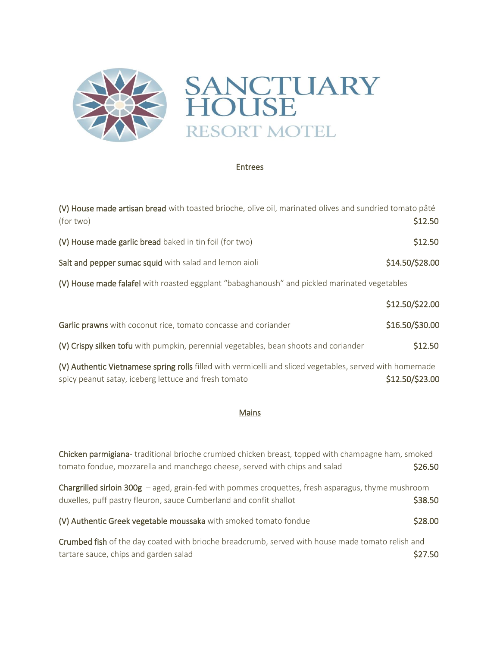

## Entrees

| (V) House made artisan bread with toasted brioche, olive oil, marinated olives and sundried tomato pâté<br>(for two) | \$12.50         |  |
|----------------------------------------------------------------------------------------------------------------------|-----------------|--|
| (V) House made garlic bread baked in tin foil (for two)                                                              | \$12.50         |  |
| Salt and pepper sumac squid with salad and lemon aioli                                                               | \$14.50/\$28.00 |  |
| (V) House made falafel with roasted eggplant "babaghanoush" and pickled marinated vegetables                         |                 |  |
|                                                                                                                      | \$12.50/\$22.00 |  |
| Garlic prawns with coconut rice, tomato concasse and coriander                                                       | \$16.50/\$30.00 |  |
| (V) Crispy silken tofu with pumpkin, perennial vegetables, bean shoots and coriander                                 | \$12.50         |  |
| AA Authoric Victor assessment filled with vermicalli and cliegd vegetables, served with hamomade                     |                 |  |

(V) Authentic Vietnamese spring rolls filled with vermicelli and sliced vegetables, served with homemade spicy peanut satay, iceberg lettuce and fresh tomato  $$12.50/\$23.00$ 

## Mains

| Chicken parmigiana- traditional brioche crumbed chicken breast, topped with champagne ham, smoked<br>tomato fondue, mozzarella and manchego cheese, served with chips and salad | \$26.50 |
|---------------------------------------------------------------------------------------------------------------------------------------------------------------------------------|---------|
| Chargrilled sirloin $300g$ – aged, grain-fed with pommes croquettes, fresh asparagus, thyme mushroom<br>duxelles, puff pastry fleuron, sauce Cumberland and confit shallot      | \$38.50 |
| (V) Authentic Greek vegetable moussaka with smoked tomato fondue                                                                                                                | \$28.00 |
| Crumbed fish of the day coated with brioche breadcrumb, served with house made tomato relish and<br>tartare sauce, chips and garden salad                                       | \$27.50 |